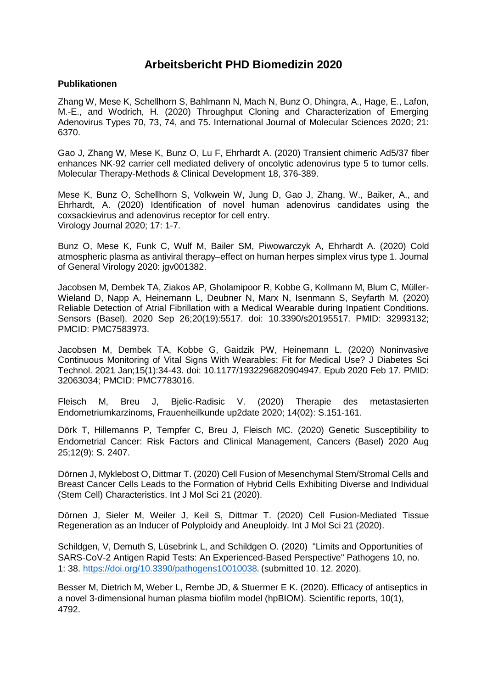## **Arbeitsbericht PHD Biomedizin 2020**

## **Publikationen**

Zhang W, Mese K, Schellhorn S, Bahlmann N, Mach N, Bunz O, Dhingra, A., Hage, E., Lafon, M.-E., and Wodrich, H. (2020) Throughput Cloning and Characterization of Emerging Adenovirus Types 70, 73, 74, and 75. International Journal of Molecular Sciences 2020; 21: 6370.

Gao J, Zhang W, Mese K, Bunz O, Lu F, Ehrhardt A. (2020) Transient chimeric Ad5/37 fiber enhances NK-92 carrier cell mediated delivery of oncolytic adenovirus type 5 to tumor cells. Molecular Therapy-Methods & Clinical Development 18, 376-389.

Mese K, Bunz O, Schellhorn S, Volkwein W, Jung D, Gao J, Zhang, W., Baiker, A., and Ehrhardt, A. (2020) Identification of novel human adenovirus candidates using the coxsackievirus and adenovirus receptor for cell entry. Virology Journal 2020; 17: 1-7.

Bunz O, Mese K, Funk C, Wulf M, Bailer SM, Piwowarczyk A, Ehrhardt A. (2020) Cold atmospheric plasma as antiviral therapy–effect on human herpes simplex virus type 1. Journal of General Virology 2020: jgv001382.

Jacobsen M, Dembek TA, Ziakos AP, Gholamipoor R, Kobbe G, Kollmann M, Blum C, Müller-Wieland D, Napp A, Heinemann L, Deubner N, Marx N, Isenmann S, Seyfarth M. (2020) Reliable Detection of Atrial Fibrillation with a Medical Wearable during Inpatient Conditions. Sensors (Basel). 2020 Sep 26;20(19):5517. doi: 10.3390/s20195517. PMID: 32993132; PMCID: PMC7583973.

Jacobsen M, Dembek TA, Kobbe G, Gaidzik PW, Heinemann L. (2020) Noninvasive Continuous Monitoring of Vital Signs With Wearables: Fit for Medical Use? J Diabetes Sci Technol. 2021 Jan;15(1):34-43. doi: 10.1177/1932296820904947. Epub 2020 Feb 17. PMID: 32063034; PMCID: PMC7783016.

Fleisch M, Breu J, Bjelic-Radisic V. (2020) Therapie des metastasierten Endometriumkarzinoms, Frauenheilkunde up2date 2020; 14(02): S.151-161.

Dörk T, Hillemanns P, Tempfer C, Breu J, Fleisch MC. (2020) Genetic Susceptibility to Endometrial Cancer: Risk Factors and Clinical Management, Cancers (Basel) 2020 Aug 25;12(9): S. 2407.

Dörnen J, Myklebost O, Dittmar T. (2020) Cell Fusion of Mesenchymal Stem/Stromal Cells and Breast Cancer Cells Leads to the Formation of Hybrid Cells Exhibiting Diverse and Individual (Stem Cell) Characteristics. Int J Mol Sci 21 (2020).

Dörnen J, Sieler M, Weiler J, Keil S, Dittmar T. (2020) Cell Fusion-Mediated Tissue Regeneration as an Inducer of Polyploidy and Aneuploidy. Int J Mol Sci 21 (2020).

Schildgen, V, Demuth S, Lüsebrink L, and Schildgen O. (2020) "Limits and Opportunities of SARS-CoV-2 Antigen Rapid Tests: An Experienced-Based Perspective" Pathogens 10, no. 1: 38.<https://doi.org/10.3390/pathogens10010038>. (submitted 10. 12. 2020).

Besser M, Dietrich M, Weber L, Rembe JD, & Stuermer E K. (2020). Efficacy of antiseptics in a novel 3-dimensional human plasma biofilm model (hpBIOM). Scientific reports, 10(1), 4792.